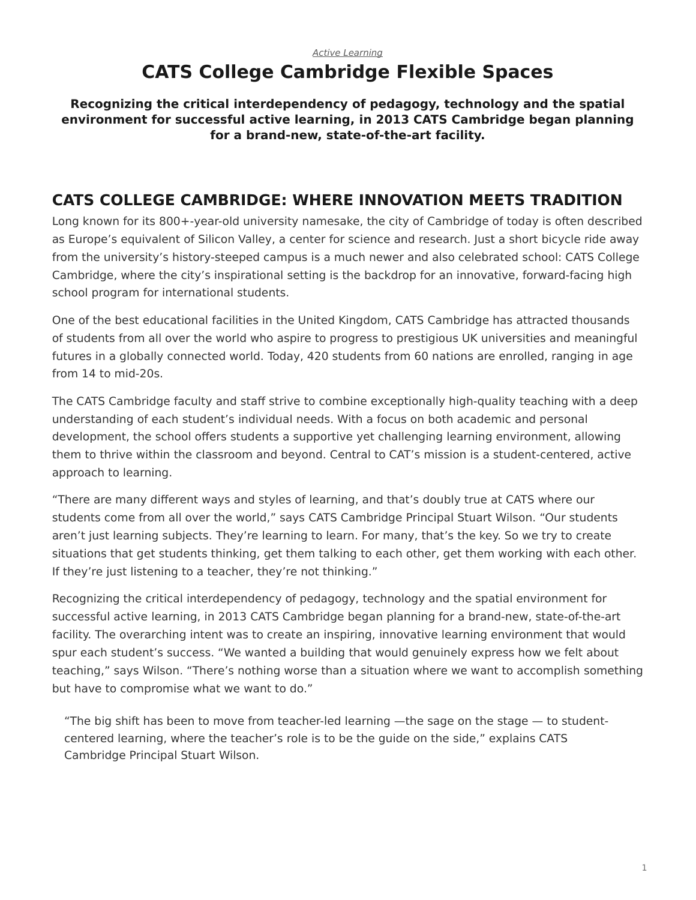#### <span id="page-0-0"></span>*[Active Learning](https://www.steelcase.com/research/topics/active-learning/)* **CATS College Cambridge Flexible Spaces**

#### **Recognizing the critical interdependency of pedagogy, technology and the spatial environment for successful active learning, in 2013 CATS Cambridge began planning for a brand-new, state-of-the-art facility.**

## **CATS COLLEGE CAMBRIDGE: WHERE INNOVATION MEETS TRADITION**

Long known for its 800+-year-old university namesake, the city of Cambridge of today is often described as Europe's equivalent of Silicon Valley, a center for science and research. Just a short bicycle ride away from the university's history-steeped campus is a much newer and also celebrated school: CATS College Cambridge, where the city's inspirational setting is the backdrop for an innovative, forward-facing high school program for international students.

One of the best educational facilities in the United Kingdom, CATS Cambridge has attracted thousands of students from all over the world who aspire to progress to prestigious UK universities and meaningful futures in a globally connected world. Today, 420 students from 60 nations are enrolled, ranging in age from 14 to mid-20s.

The CATS Cambridge faculty and staff strive to combine exceptionally high-quality teaching with a deep understanding of each student's individual needs. With a focus on both academic and personal development, the school offers students a supportive yet challenging learning environment, allowing them to thrive within the classroom and beyond. Central to CAT's mission is a student-centered, active approach to learning.

"There are many different ways and styles of learning, and that's doubly true at CATS where our students come from all over the world," says CATS Cambridge Principal Stuart Wilson. "Our students aren't just learning subjects. They're learning to learn. For many, that's the key. So we try to create situations that get students thinking, get them talking to each other, get them working with each other. If they're just listening to a teacher, they're not thinking."

Recognizing the critical interdependency of pedagogy, technology and the spatial environment for successful active learning, in 2013 CATS Cambridge began planning for a brand-new, state-of-the-art facility. The overarching intent was to create an inspiring, innovative learning environment that would spur each student's success. "We wanted a building that would genuinely express how we felt about teaching," says Wilson. "There's nothing worse than a situation where we want to accomplish something but have to compromise what we want to do."

"The big shift has been to move from teacher-led learning —the sage on the stage  $-$  to studentcentered learning, where the teacher's role is to be the guide on the side," explains CATS Cambridge Principal Stuart Wilson.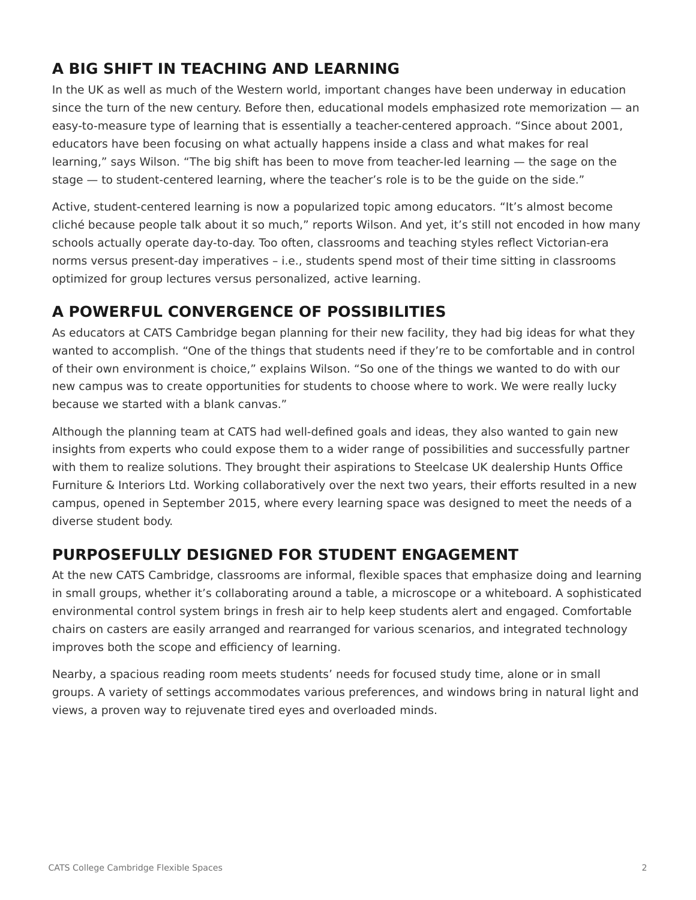# **A BIG SHIFT IN TEACHING AND LEARNING**

In the UK as well as much of the Western world, important changes have been underway in education since the turn of the new century. Before then, educational models emphasized rote memorization — an easy-to-measure type of learning that is essentially a teacher-centered approach. "Since about 2001, educators have been focusing on what actually happens inside a class and what makes for real learning," says Wilson. "The big shift has been to move from teacher-led learning — the sage on the stage — to student-centered learning, where the teacher's role is to be the guide on the side."

Active, student-centered learning is now a popularized topic among educators. "It's almost become cliché because people talk about it so much," reports Wilson. And yet, it's still not encoded in how many schools actually operate day-to-day. Too often, classrooms and teaching styles reflect Victorian-era norms versus present-day imperatives – i.e., students spend most of their time sitting in classrooms optimized for group lectures versus personalized, active learning.

# **A POWERFUL CONVERGENCE OF POSSIBILITIES**

As educators at CATS Cambridge began planning for their new facility, they had big ideas for what they wanted to accomplish. "One of the things that students need if they're to be comfortable and in control of their own environment is choice," explains Wilson. "So one of the things we wanted to do with our new campus was to create opportunities for students to choose where to work. We were really lucky because we started with a blank canvas."

Although the planning team at CATS had well-defined goals and ideas, they also wanted to gain new insights from experts who could expose them to a wider range of possibilities and successfully partner with them to realize solutions. They brought their aspirations to Steelcase UK dealership Hunts Office Furniture & Interiors Ltd. Working collaboratively over the next two years, their efforts resulted in a new campus, opened in September 2015, where every learning space was designed to meet the needs of a diverse student body.

# **PURPOSEFULLY DESIGNED FOR STUDENT ENGAGEMENT**

At the new CATS Cambridge, classrooms are informal, flexible spaces that emphasize doing and learning in small groups, whether it's collaborating around a table, a microscope or a whiteboard. A sophisticated environmental control system brings in fresh air to help keep students alert and engaged. Comfortable chairs on casters are easily arranged and rearranged for various scenarios, and integrated technology improves both the scope and efficiency of learning.

Nearby, a spacious reading room meets students' needs for focused study time, alone or in small groups. A variety of settings accommodates various preferences, and windows bring in natural light and views, a proven way to rejuvenate tired eyes and overloaded minds.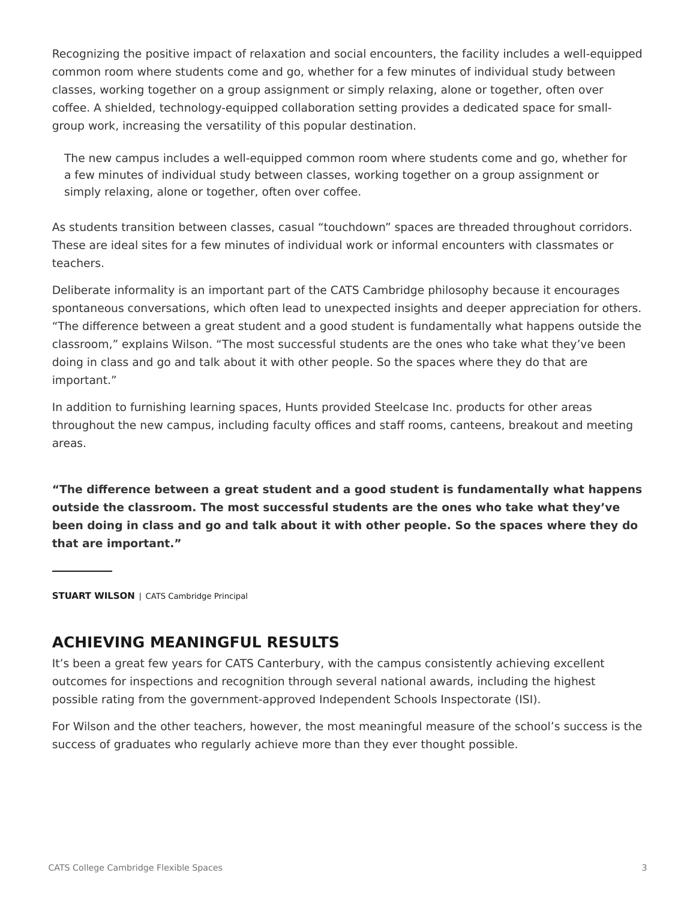Recognizing the positive impact of relaxation and social encounters, the facility includes a well-equipped common room where students come and go, whether for a few minutes of individual study between classes, working together on a group assignment or simply relaxing, alone or together, often over coffee. A shielded, technology-equipped collaboration setting provides a dedicated space for smallgroup work, increasing the versatility of this popular destination.

The new campus includes a well-equipped common room where students come and go, whether for a few minutes of individual study between classes, working together on a group assignment or simply relaxing, alone or together, often over coffee.

As students transition between classes, casual "touchdown" spaces are threaded throughout corridors. These are ideal sites for a few minutes of individual work or informal encounters with classmates or teachers.

Deliberate informality is an important part of the CATS Cambridge philosophy because it encourages spontaneous conversations, which often lead to unexpected insights and deeper appreciation for others. "The difference between a great student and a good student is fundamentally what happens outside the classroom," explains Wilson. "The most successful students are the ones who take what they've been doing in class and go and talk about it with other people. So the spaces where they do that are important."

In addition to furnishing learning spaces, Hunts provided Steelcase Inc. products for other areas throughout the new campus, including faculty offices and staff rooms, canteens, breakout and meeting areas.

**"The difference between a great student and a good student is fundamentally what happens outside the classroom. The most successful students are the ones who take what they've been doing in class and go and talk about it with other people. So the spaces where they do that are important."**

**STUART WILSON** | CATS Cambridge Principal

#### **ACHIEVING MEANINGFUL RESULTS**

It's been a great few years for CATS Canterbury, with the campus consistently achieving excellent outcomes for inspections and recognition through several national awards, including the highest possible rating from the government-approved Independent Schools Inspectorate (ISI).

For Wilson and the other teachers, however, the most meaningful measure of the school's success is the success of graduates who regularly achieve more than they ever thought possible.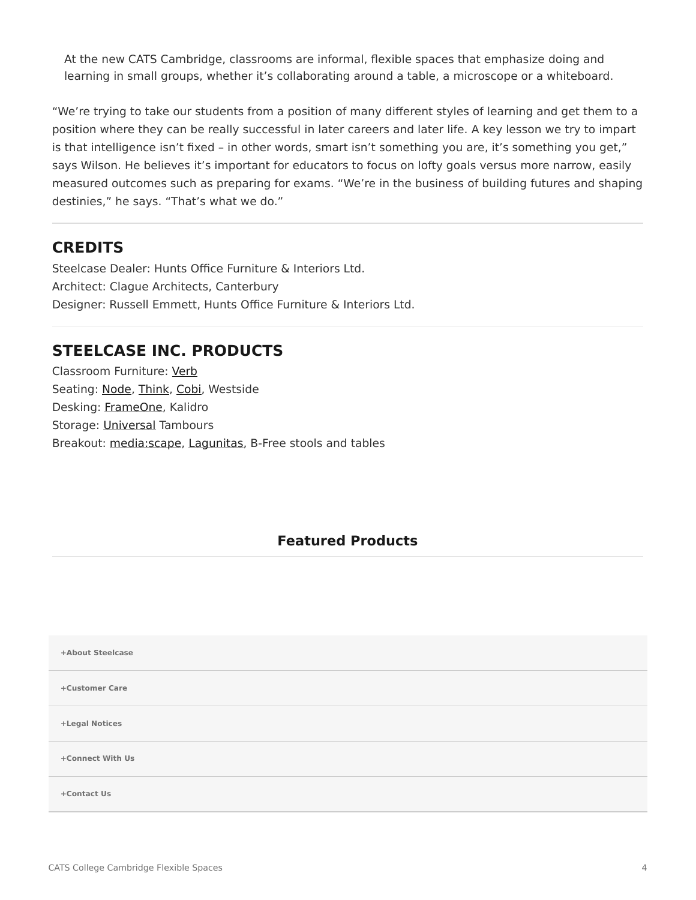At the new CATS Cambridge, classrooms are informal, flexible spaces that emphasize doing and learning in small groups, whether it's collaborating around a table, a microscope or a whiteboard.

"We're trying to take our students from a position of many different styles of learning and get them to a position where they can be really successful in later careers and later life. A key lesson we try to impart is that intelligence isn't fixed – in other words, smart isn't something you are, it's something you get," says Wilson. He believes it's important for educators to focus on lofty goals versus more narrow, easily measured outcomes such as preparing for exams. "We're in the business of building futures and shaping destinies," he says. "That's what we do."

#### **CREDITS**

Steelcase Dealer: Hunts Office Furniture & Interiors Ltd. Architect: Clague Architects, Canterbury Designer: Russell Emmett, Hunts Office Furniture & Interiors Ltd.

## **STEELCASE INC. PRODUCTS**

Classroom Furniture: [Verb](https://www.steelcase.com/products/conference-classroom-tables/verb/) Seating: [Node,](https://www.steelcase.com/products/collaborative-chairs/node/) [Think,](https://www.steelcase.com/products/office-chairs/think/) [Cobi](https://www.steelcase.com/products/collaborative-chairs/cobi/), Westside Desking: [FrameOne](https://www.steelcase.com/products/benching/frameone/), Kalidro Storage: [Universal](https://www.steelcase.com/products/bins-shelves/universal-storage/) Tambours Breakout: [media:scape,](https://www.steelcase.com/products/collaboration/mediascape/) [Lagunitas](https://www.steelcase.com/products/lounge-chairs/lagunitas-lounge-seating/), B-Free stools and tables

#### **Featured Products**